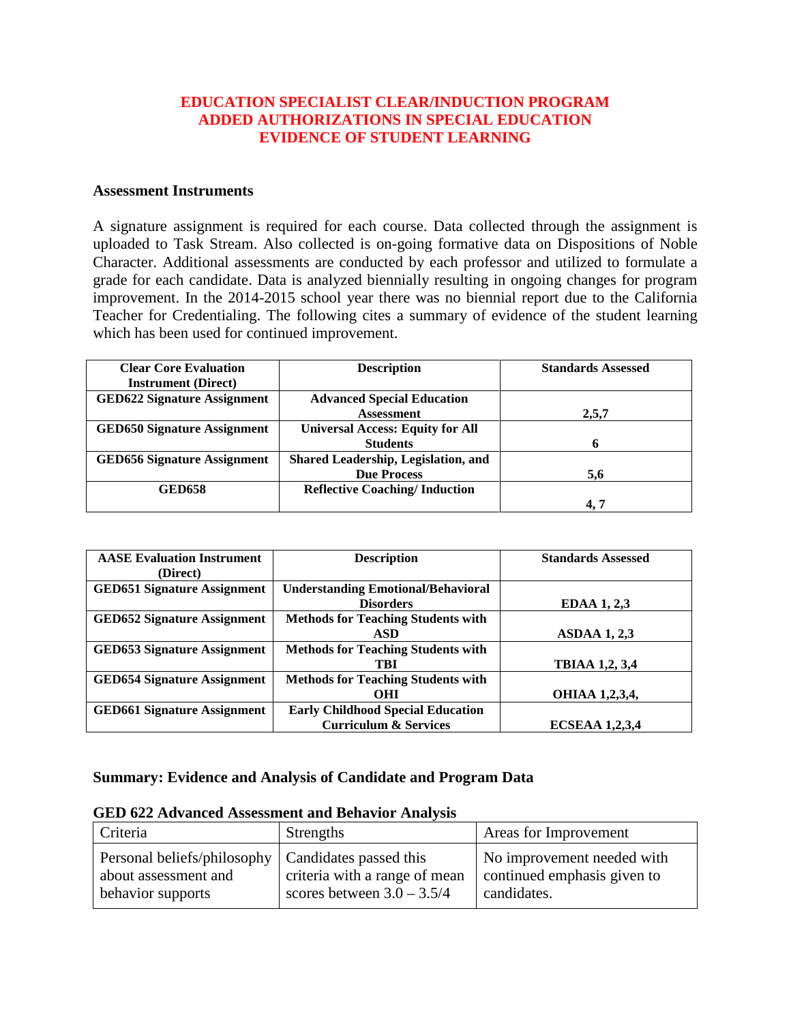### **EDUCATION SPECIALIST CLEAR/INDUCTION PROGRAM ADDED AUTHORIZATIONS IN SPECIAL EDUCATION EVIDENCE OF STUDENT LEARNING**

### **Assessment Instruments**

A signature assignment is required for each course. Data collected through the assignment is uploaded to Task Stream. Also collected is on-going formative data on Dispositions of Noble Character. Additional assessments are conducted by each professor and utilized to formulate a grade for each candidate. Data is analyzed biennially resulting in ongoing changes for program improvement. In the 2014-2015 school year there was no biennial report due to the California Teacher for Credentialing. The following cites a summary of evidence of the student learning which has been used for continued improvement.

| <b>Clear Core Evaluation</b>       | <b>Description</b>                      | <b>Standards Assessed</b> |
|------------------------------------|-----------------------------------------|---------------------------|
| <b>Instrument</b> (Direct)         |                                         |                           |
| <b>GED622 Signature Assignment</b> | <b>Advanced Special Education</b>       |                           |
|                                    | <b>Assessment</b>                       | 2,5,7                     |
| <b>GED650 Signature Assignment</b> | <b>Universal Access: Equity for All</b> |                           |
|                                    | <b>Students</b>                         | Ð                         |
| <b>GED656 Signature Assignment</b> | Shared Leadership, Legislation, and     |                           |
|                                    | <b>Due Process</b>                      | 5,6                       |
| <b>GED658</b>                      | <b>Reflective Coaching/Induction</b>    |                           |
|                                    |                                         | 4, 7                      |

| <b>AASE Evaluation Instrument</b>  | <b>Description</b>                        | <b>Standards Assessed</b> |
|------------------------------------|-------------------------------------------|---------------------------|
| (Direct)                           |                                           |                           |
| <b>GED651 Signature Assignment</b> | <b>Understanding Emotional/Behavioral</b> |                           |
|                                    | <b>Disorders</b>                          | <b>EDAA 1, 2,3</b>        |
| <b>GED652 Signature Assignment</b> | <b>Methods for Teaching Students with</b> |                           |
|                                    | ASD                                       | <b>ASDAA 1, 2,3</b>       |
| <b>GED653 Signature Assignment</b> | <b>Methods for Teaching Students with</b> |                           |
|                                    | TBI                                       | <b>TBIAA 1,2, 3,4</b>     |
| <b>GED654 Signature Assignment</b> | <b>Methods for Teaching Students with</b> |                           |
|                                    | <b>OHI</b>                                | <b>OHIAA 1,2,3,4,</b>     |
| <b>GED661 Signature Assignment</b> | <b>Early Childhood Special Education</b>  |                           |
|                                    | <b>Curriculum &amp; Services</b>          | <b>ECSEAA 1,2,3,4</b>     |

#### **Summary: Evidence and Analysis of Candidate and Program Data**

|  |  |  | <b>GED 622 Advanced Assessment and Behavior Analysis</b> |  |  |  |
|--|--|--|----------------------------------------------------------|--|--|--|
|--|--|--|----------------------------------------------------------|--|--|--|

| Criteria                                                                                          | Strengths                                                     | Areas for Improvement                                                    |
|---------------------------------------------------------------------------------------------------|---------------------------------------------------------------|--------------------------------------------------------------------------|
| Personal beliefs/philosophy   Candidates passed this<br>about assessment and<br>behavior supports | criteria with a range of mean<br>scores between $3.0 - 3.5/4$ | No improvement needed with<br>continued emphasis given to<br>candidates. |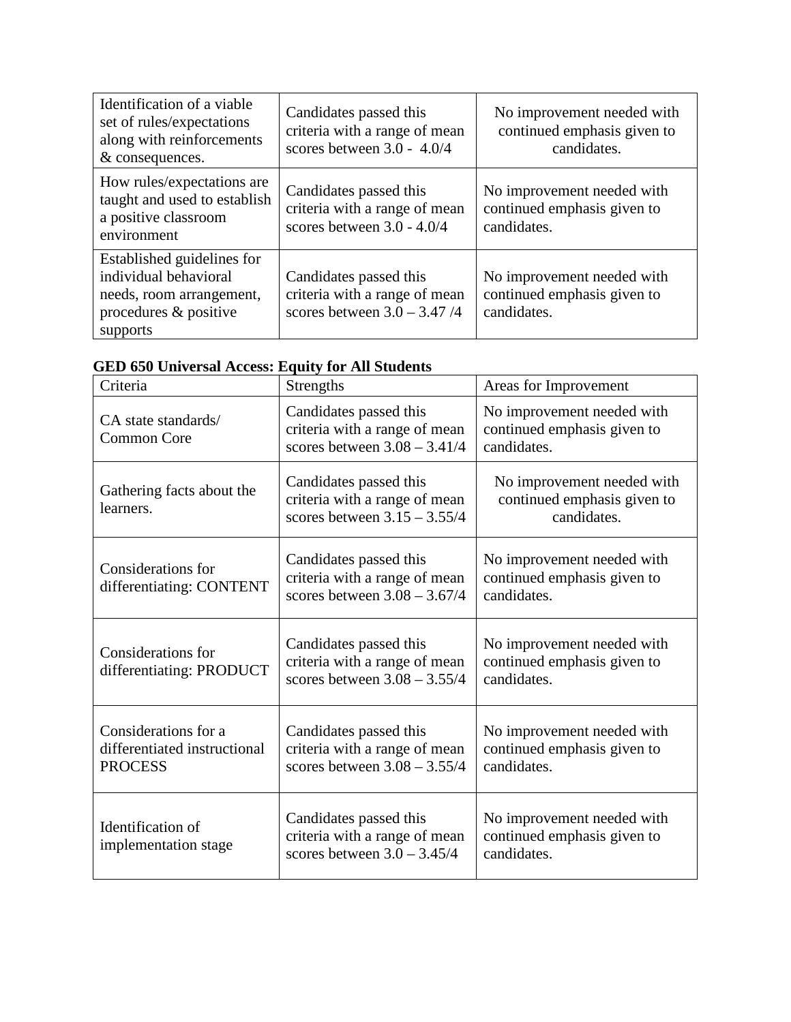| Identification of a viable<br>set of rules/expectations<br>along with reinforcements<br>& consequences.              | Candidates passed this<br>criteria with a range of mean<br>scores between $3.0 - 4.0/4$    | No improvement needed with<br>continued emphasis given to<br>candidates. |
|----------------------------------------------------------------------------------------------------------------------|--------------------------------------------------------------------------------------------|--------------------------------------------------------------------------|
| How rules/expectations are<br>taught and used to establish<br>a positive classroom<br>environment                    | Candidates passed this<br>criteria with a range of mean<br>scores between $3.0 - 4.0/4$    | No improvement needed with<br>continued emphasis given to<br>candidates. |
| Established guidelines for<br>individual behavioral<br>needs, room arrangement,<br>procedures & positive<br>supports | Candidates passed this<br>criteria with a range of mean<br>scores between $3.0 - 3.47 / 4$ | No improvement needed with<br>continued emphasis given to<br>candidates. |

| GED 650 Universal Access: Equity for All Students |
|---------------------------------------------------|
|---------------------------------------------------|

| Criteria                                                               | <b>Strengths</b>                                                                          | Areas for Improvement                                                    |
|------------------------------------------------------------------------|-------------------------------------------------------------------------------------------|--------------------------------------------------------------------------|
| CA state standards/<br><b>Common Core</b>                              | Candidates passed this<br>criteria with a range of mean<br>scores between $3.08 - 3.41/4$ | No improvement needed with<br>continued emphasis given to<br>candidates. |
| Gathering facts about the<br>learners.                                 | Candidates passed this<br>criteria with a range of mean<br>scores between $3.15 - 3.55/4$ | No improvement needed with<br>continued emphasis given to<br>candidates. |
| Considerations for<br>differentiating: CONTENT                         | Candidates passed this<br>criteria with a range of mean<br>scores between $3.08 - 3.67/4$ | No improvement needed with<br>continued emphasis given to<br>candidates. |
| Considerations for<br>differentiating: PRODUCT                         | Candidates passed this<br>criteria with a range of mean<br>scores between $3.08 - 3.55/4$ | No improvement needed with<br>continued emphasis given to<br>candidates. |
| Considerations for a<br>differentiated instructional<br><b>PROCESS</b> | Candidates passed this<br>criteria with a range of mean<br>scores between $3.08 - 3.55/4$ | No improvement needed with<br>continued emphasis given to<br>candidates. |
| Identification of<br>implementation stage                              | Candidates passed this<br>criteria with a range of mean<br>scores between $3.0 - 3.45/4$  | No improvement needed with<br>continued emphasis given to<br>candidates. |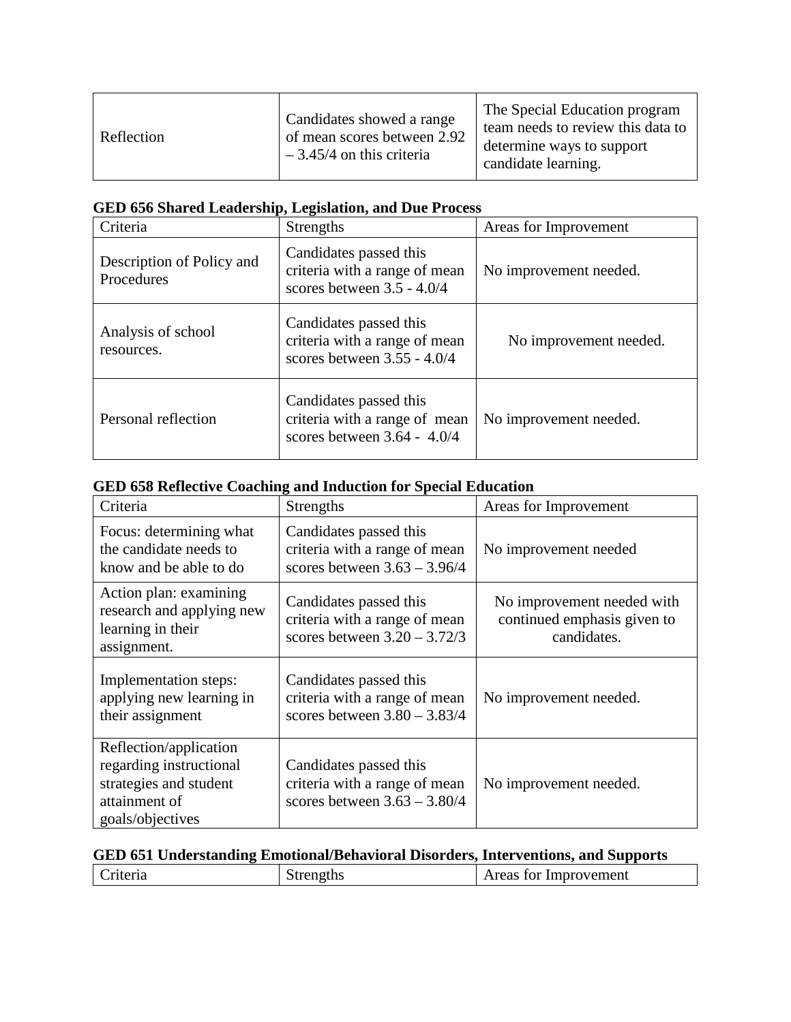| Reflection | Candidates showed a range<br>of mean scores between 2.92<br>$-3.45/4$ on this criteria | The Special Education program<br>team needs to review this data to<br>determine ways to support<br>candidate learning. |
|------------|----------------------------------------------------------------------------------------|------------------------------------------------------------------------------------------------------------------------|
|------------|----------------------------------------------------------------------------------------|------------------------------------------------------------------------------------------------------------------------|

## **GED 656 Shared Leadership, Legislation, and Due Process**

| Criteria                                | <b>Strengths</b>                                                                         | Areas for Improvement  |
|-----------------------------------------|------------------------------------------------------------------------------------------|------------------------|
| Description of Policy and<br>Procedures | Candidates passed this<br>criteria with a range of mean<br>scores between $3.5 - 4.0/4$  | No improvement needed. |
| Analysis of school<br>resources.        | Candidates passed this<br>criteria with a range of mean<br>scores between $3.55 - 4.0/4$ | No improvement needed. |
| Personal reflection                     | Candidates passed this<br>criteria with a range of mean<br>scores between $3.64 - 4.0/4$ | No improvement needed. |

# **GED 658 Reflective Coaching and Induction for Special Education**

| Criteria                                                                                                         | <b>Strengths</b>                                                                          | Areas for Improvement                                                    |
|------------------------------------------------------------------------------------------------------------------|-------------------------------------------------------------------------------------------|--------------------------------------------------------------------------|
| Focus: determining what<br>the candidate needs to<br>know and be able to do                                      | Candidates passed this<br>criteria with a range of mean<br>scores between $3.63 - 3.96/4$ | No improvement needed                                                    |
| Action plan: examining<br>research and applying new<br>learning in their<br>assignment.                          | Candidates passed this<br>criteria with a range of mean<br>scores between $3.20 - 3.72/3$ | No improvement needed with<br>continued emphasis given to<br>candidates. |
| Implementation steps:<br>applying new learning in<br>their assignment                                            | Candidates passed this<br>criteria with a range of mean<br>scores between $3.80 - 3.83/4$ | No improvement needed.                                                   |
| Reflection/application<br>regarding instructional<br>strategies and student<br>attainment of<br>goals/objectives | Candidates passed this<br>criteria with a range of mean<br>scores between $3.63 - 3.80/4$ | No improvement needed.                                                   |

|                          |                                             | GED 651 Understanding Emotional/Behavioral Disorders, Interventions, and Supports |
|--------------------------|---------------------------------------------|-----------------------------------------------------------------------------------|
| $\overline{\phantom{a}}$ | $\Gamma$ C <sub>tre</sub> $\sim$ -41 $\sim$ |                                                                                   |

| $\gamma_{\text{min}}$<br>ıю<br>.1a<br>◡<br>_______ | ЧR | · Improvement<br>$\blacktriangle$<br>I OT<br>74N<br>______<br>$\sim$ |
|----------------------------------------------------|----|----------------------------------------------------------------------|
|                                                    |    |                                                                      |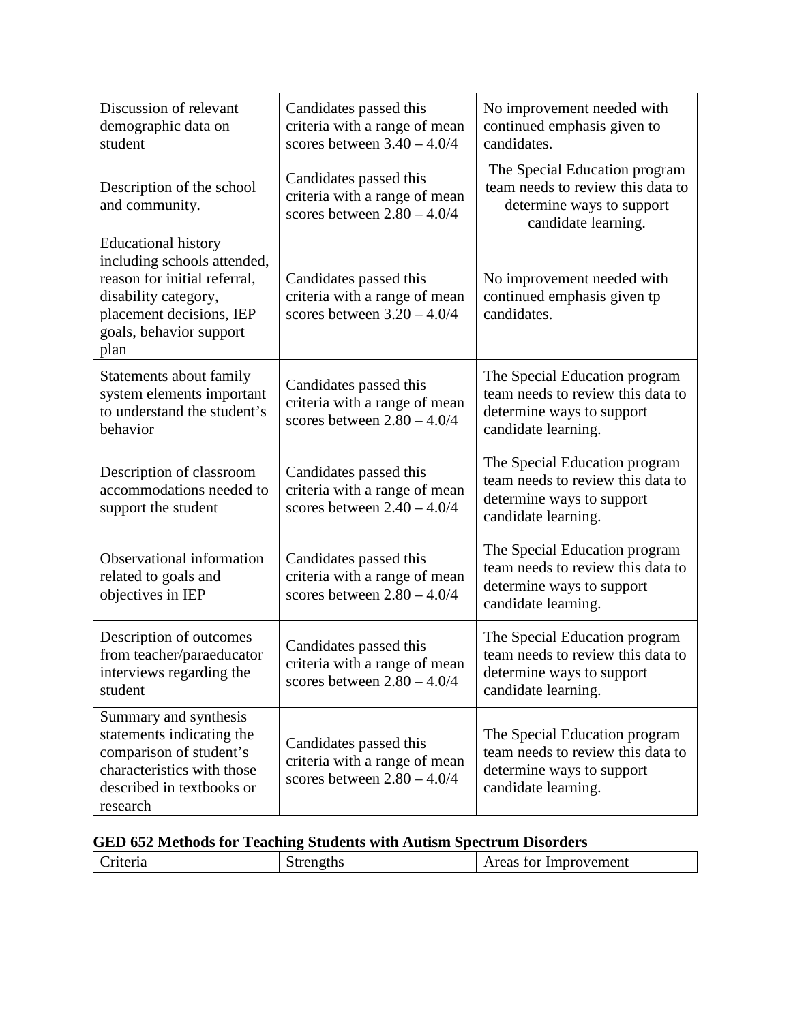| Discussion of relevant<br>demographic data on<br>student                                                                                                                         | Candidates passed this<br>criteria with a range of mean<br>scores between $3.40 - 4.0/4$ | No improvement needed with<br>continued emphasis given to<br>candidates.                                               |  |
|----------------------------------------------------------------------------------------------------------------------------------------------------------------------------------|------------------------------------------------------------------------------------------|------------------------------------------------------------------------------------------------------------------------|--|
| Description of the school<br>and community.                                                                                                                                      | Candidates passed this<br>criteria with a range of mean<br>scores between $2.80 - 4.0/4$ | The Special Education program<br>team needs to review this data to<br>determine ways to support<br>candidate learning. |  |
| <b>Educational history</b><br>including schools attended,<br>reason for initial referral,<br>disability category,<br>placement decisions, IEP<br>goals, behavior support<br>plan | Candidates passed this<br>criteria with a range of mean<br>scores between $3.20 - 4.0/4$ | No improvement needed with<br>continued emphasis given tp<br>candidates.                                               |  |
| Statements about family<br>system elements important<br>to understand the student's<br>behavior                                                                                  | Candidates passed this<br>criteria with a range of mean<br>scores between $2.80 - 4.0/4$ | The Special Education program<br>team needs to review this data to<br>determine ways to support<br>candidate learning. |  |
| Description of classroom<br>accommodations needed to<br>support the student                                                                                                      | Candidates passed this<br>criteria with a range of mean<br>scores between $2.40 - 4.0/4$ | The Special Education program<br>team needs to review this data to<br>determine ways to support<br>candidate learning. |  |
| Observational information<br>related to goals and<br>objectives in IEP                                                                                                           | Candidates passed this<br>criteria with a range of mean<br>scores between $2.80 - 4.0/4$ | The Special Education program<br>team needs to review this data to<br>determine ways to support<br>candidate learning. |  |
| Description of outcomes<br>from teacher/paraeducator<br>interviews regarding the<br>student                                                                                      | Candidates passed this<br>criteria with a range of mean<br>scores between $2.80 - 4.0/4$ | The Special Education program<br>team needs to review this data to<br>determine ways to support<br>candidate learning. |  |
| Summary and synthesis<br>statements indicating the<br>comparison of student's<br>characteristics with those<br>described in textbooks or<br>research                             | Candidates passed this<br>criteria with a range of mean<br>scores between $2.80 - 4.0/4$ | The Special Education program<br>team needs to review this data to<br>determine ways to support<br>candidate learning. |  |

| <b>GED 652 Methods for Teaching Students with Autism Spectrum Disorders</b> |  |  |
|-----------------------------------------------------------------------------|--|--|
|-----------------------------------------------------------------------------|--|--|

| Areas for Improvement<br>riteria<br>rengths | .<br>------ |  |
|---------------------------------------------|-------------|--|
|                                             |             |  |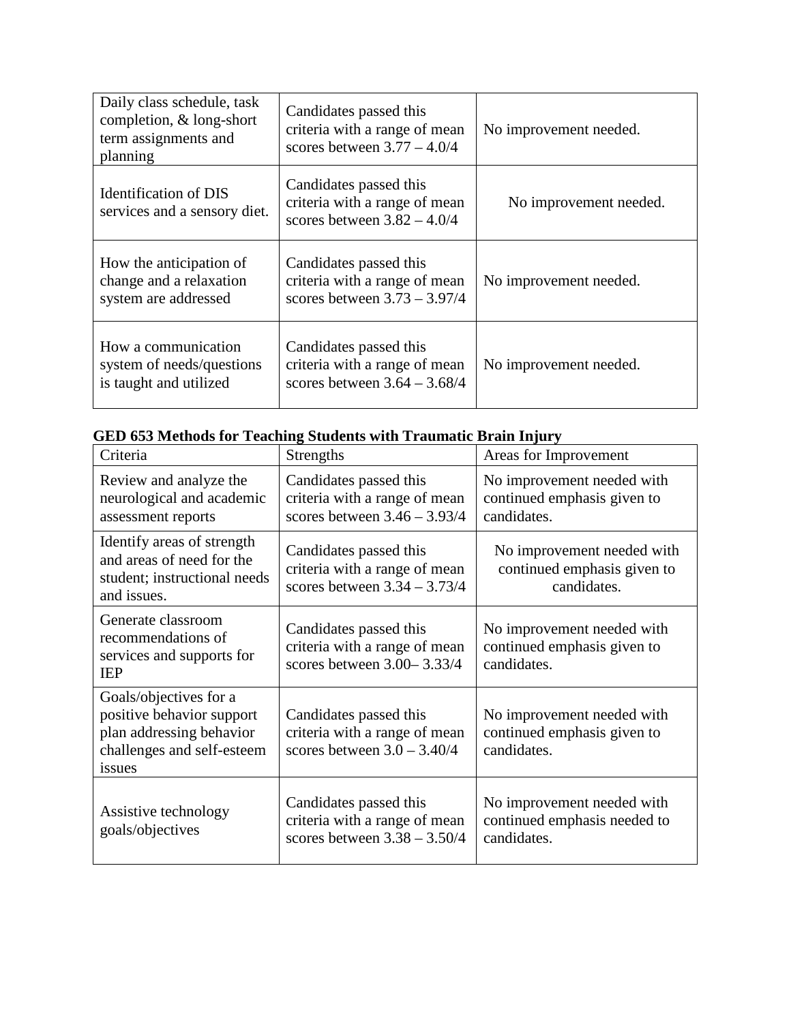| Daily class schedule, task<br>completion, & long-short<br>term assignments and<br>planning | Candidates passed this<br>criteria with a range of mean<br>scores between $3.77 - 4.0/4$  | No improvement needed. |  |
|--------------------------------------------------------------------------------------------|-------------------------------------------------------------------------------------------|------------------------|--|
| Identification of DIS<br>services and a sensory diet.                                      | Candidates passed this<br>criteria with a range of mean<br>scores between $3.82 - 4.0/4$  | No improvement needed. |  |
| How the anticipation of<br>change and a relaxation<br>system are addressed                 | Candidates passed this<br>criteria with a range of mean<br>scores between $3.73 - 3.97/4$ | No improvement needed. |  |
| How a communication<br>system of needs/questions<br>is taught and utilized                 | Candidates passed this<br>criteria with a range of mean<br>scores between $3.64 - 3.68/4$ | No improvement needed. |  |

| Criteria                                                                                                                | Strengths                                                                                 | Areas for Improvement                                                     |  |  |
|-------------------------------------------------------------------------------------------------------------------------|-------------------------------------------------------------------------------------------|---------------------------------------------------------------------------|--|--|
| Review and analyze the<br>neurological and academic<br>assessment reports                                               | Candidates passed this<br>criteria with a range of mean<br>scores between $3.46 - 3.93/4$ | No improvement needed with<br>continued emphasis given to<br>candidates.  |  |  |
| Identify areas of strength<br>and areas of need for the<br>student; instructional needs<br>and issues.                  | Candidates passed this<br>criteria with a range of mean<br>scores between $3.34 - 3.73/4$ | No improvement needed with<br>continued emphasis given to<br>candidates.  |  |  |
| Generate classroom<br>recommendations of<br>services and supports for<br><b>IEP</b>                                     | Candidates passed this<br>criteria with a range of mean<br>scores between 3.00-3.33/4     | No improvement needed with<br>continued emphasis given to<br>candidates.  |  |  |
| Goals/objectives for a<br>positive behavior support<br>plan addressing behavior<br>challenges and self-esteem<br>issues | Candidates passed this<br>criteria with a range of mean<br>scores between $3.0 - 3.40/4$  | No improvement needed with<br>continued emphasis given to<br>candidates.  |  |  |
| Assistive technology<br>goals/objectives                                                                                | Candidates passed this<br>criteria with a range of mean<br>scores between $3.38 - 3.50/4$ | No improvement needed with<br>continued emphasis needed to<br>candidates. |  |  |

# **GED 653 Methods for Teaching Students with Traumatic Brain Injury**